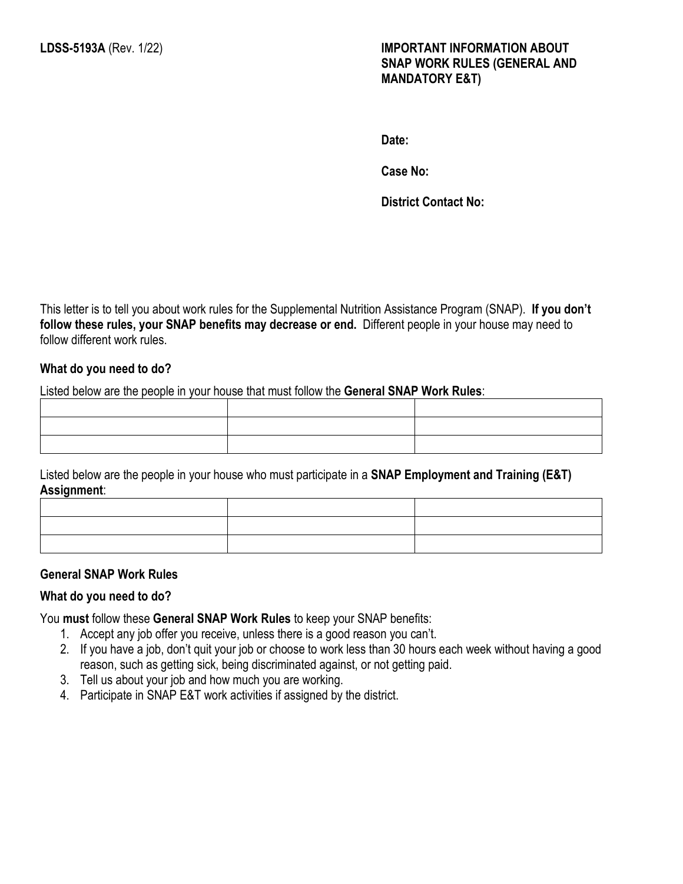**Date:**

**Case No:** 

**District Contact No:**

This letter is to tell you about work rules for the Supplemental Nutrition Assistance Program (SNAP). **If you don't follow these rules, your SNAP benefits may decrease or end.** Different people in your house may need to follow different work rules.

#### **What do you need to do?**

Listed below are the people in your house that must follow the **General SNAP Work Rules**:

Listed below are the people in your house who must participate in a **SNAP Employment and Training (E&T) Assignment**:

#### **General SNAP Work Rules**

#### **What do you need to do?**

You **must** follow these **General SNAP Work Rules** to keep your SNAP benefits:

- 1. Accept any job offer you receive, unless there is a good reason you can't.
- 2. If you have a job, don't quit your job or choose to work less than 30 hours each week without having a good reason, such as getting sick, being discriminated against, or not getting paid.
- 3. Tell us about your job and how much you are working.
- 4. Participate in SNAP E&T work activities if assigned by the district.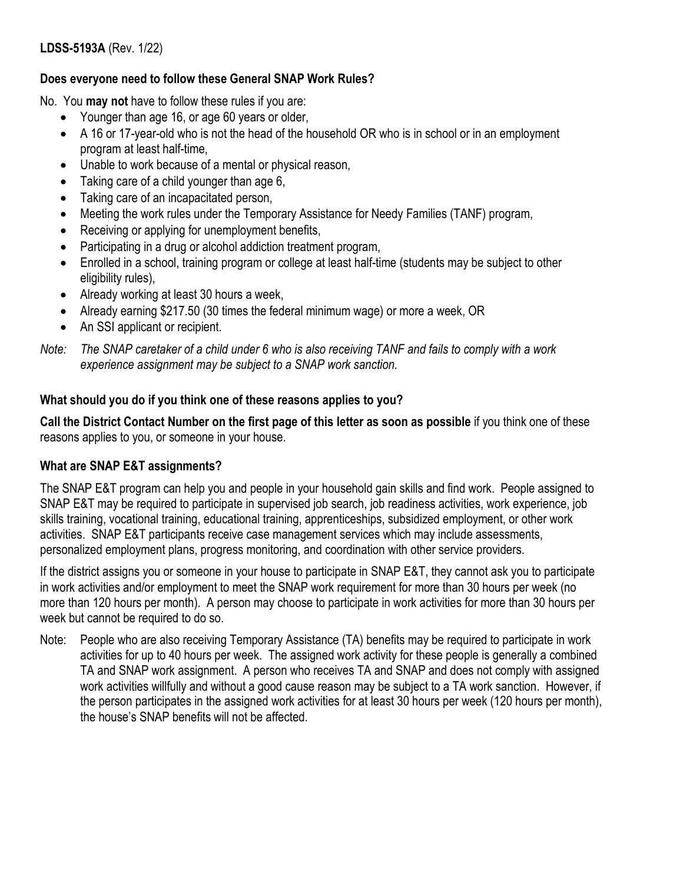### **Does everyone need to follow these General SNAP Work Rules?**

No. You **may not** have to follow these rules if you are:

- Younger than age 16, or age 60 years or older,
- A 16 or 17-year-old who is not the head of the household OR who is in school or in an employment program at least half-time,
- Unable to work because of a mental or physical reason,
- Taking care of a child younger than age 6,
- Taking care of an incapacitated person,
- Meeting the work rules under the Temporary Assistance for Needy Families (TANF) program,
- Receiving or applying for unemployment benefits,
- Participating in a drug or alcohol addiction treatment program,
- Enrolled in a school, training program or college at least half-time (students may be subject to other eligibility rules),
- Already working at least 30 hours a week,
- Already earning \$217.50 (30 times the federal minimum wage) or more a week, OR
- An SSI applicant or recipient.

*Note: The SNAP caretaker of a child under 6 who is also receiving TANF and fails to comply with a work experience assignment may be subject to a SNAP work sanction.*

## **What should you do if you think one of these reasons applies to you?**

**Call the District Contact Number on the first page of this letter as soon as possible** if you think one of these reasons applies to you, or someone in your house.

# **What are SNAP E&T assignments?**

The SNAP E&T program can help you and people in your household gain skills and find work. People assigned to SNAP E&T may be required to participate in supervised job search, job readiness activities, work experience, job skills training, vocational training, educational training, apprenticeships, subsidized employment, or other work activities. SNAP E&T participants receive case management services which may include assessments, personalized employment plans, progress monitoring, and coordination with other service providers.

If the district assigns you or someone in your house to participate in SNAP E&T, they cannot ask you to participate in work activities and/or employment to meet the SNAP work requirement for more than 30 hours per week (no more than 120 hours per month). A person may choose to participate in work activities for more than 30 hours per week but cannot be required to do so.

Note: People who are also receiving Temporary Assistance (TA) benefits may be required to participate in work activities for up to 40 hours per week. The assigned work activity for these people is generally a combined TA and SNAP work assignment. A person who receives TA and SNAP and does not comply with assigned work activities willfully and without a good cause reason may be subject to a TA work sanction. However, if the person participates in the assigned work activities for at least 30 hours per week (120 hours per month), the house's SNAP benefits will not be affected.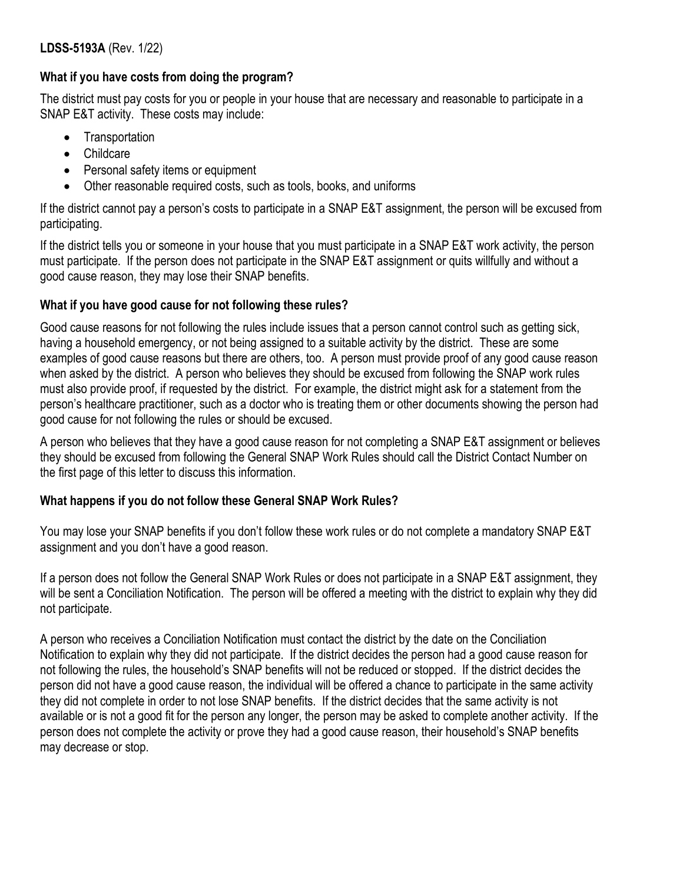### **What if you have costs from doing the program?**

The district must pay costs for you or people in your house that are necessary and reasonable to participate in a SNAP E&T activity. These costs may include:

- Transportation
- Childcare
- Personal safety items or equipment
- Other reasonable required costs, such as tools, books, and uniforms

If the district cannot pay a person's costs to participate in a SNAP E&T assignment, the person will be excused from participating.

If the district tells you or someone in your house that you must participate in a SNAP E&T work activity, the person must participate. If the person does not participate in the SNAP E&T assignment or quits willfully and without a good cause reason, they may lose their SNAP benefits.

## **What if you have good cause for not following these rules?**

Good cause reasons for not following the rules include issues that a person cannot control such as getting sick, having a household emergency, or not being assigned to a suitable activity by the district. These are some examples of good cause reasons but there are others, too. A person must provide proof of any good cause reason when asked by the district. A person who believes they should be excused from following the SNAP work rules must also provide proof, if requested by the district. For example, the district might ask for a statement from the person's healthcare practitioner, such as a doctor who is treating them or other documents showing the person had good cause for not following the rules or should be excused.

A person who believes that they have a good cause reason for not completing a SNAP E&T assignment or believes they should be excused from following the General SNAP Work Rules should call the District Contact Number on the first page of this letter to discuss this information.

# **What happens if you do not follow these General SNAP Work Rules?**

You may lose your SNAP benefits if you don't follow these work rules or do not complete a mandatory SNAP E&T assignment and you don't have a good reason.

If a person does not follow the General SNAP Work Rules or does not participate in a SNAP E&T assignment, they will be sent a Conciliation Notification. The person will be offered a meeting with the district to explain why they did not participate.

A person who receives a Conciliation Notification must contact the district by the date on the Conciliation Notification to explain why they did not participate. If the district decides the person had a good cause reason for not following the rules, the household's SNAP benefits will not be reduced or stopped. If the district decides the person did not have a good cause reason, the individual will be offered a chance to participate in the same activity they did not complete in order to not lose SNAP benefits. If the district decides that the same activity is not available or is not a good fit for the person any longer, the person may be asked to complete another activity. If the person does not complete the activity or prove they had a good cause reason, their household's SNAP benefits may decrease or stop.